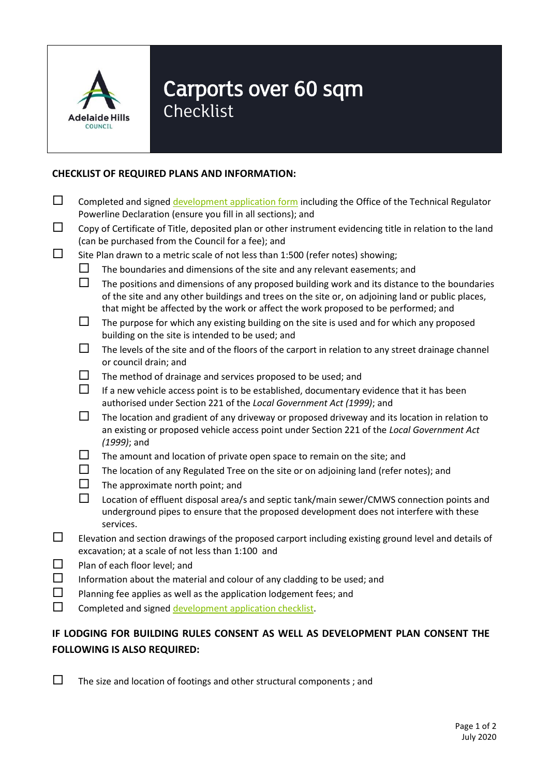

## Carports over 60 sqm

Checklist

## **CHECKLIST OF REQUIRED PLANS AND INFORMATION:**

| $\Box$                               | Completed and signed development application form including the Office of the Technical Regulator<br>Powerline Declaration (ensure you fill in all sections); and |                                                                                                                                                                                                                                                                                           |
|--------------------------------------|-------------------------------------------------------------------------------------------------------------------------------------------------------------------|-------------------------------------------------------------------------------------------------------------------------------------------------------------------------------------------------------------------------------------------------------------------------------------------|
| □                                    | Copy of Certificate of Title, deposited plan or other instrument evidencing title in relation to the land<br>(can be purchased from the Council for a fee); and   |                                                                                                                                                                                                                                                                                           |
| $\Box$                               | Site Plan drawn to a metric scale of not less than 1:500 (refer notes) showing;                                                                                   |                                                                                                                                                                                                                                                                                           |
|                                      | ப                                                                                                                                                                 | The boundaries and dimensions of the site and any relevant easements; and                                                                                                                                                                                                                 |
|                                      | $\Box$                                                                                                                                                            | The positions and dimensions of any proposed building work and its distance to the boundaries<br>of the site and any other buildings and trees on the site or, on adjoining land or public places,<br>that might be affected by the work or affect the work proposed to be performed; and |
|                                      | $\Box$                                                                                                                                                            | The purpose for which any existing building on the site is used and for which any proposed<br>building on the site is intended to be used; and                                                                                                                                            |
|                                      | $\Box$                                                                                                                                                            | The levels of the site and of the floors of the carport in relation to any street drainage channel<br>or council drain; and                                                                                                                                                               |
|                                      | $\Box$                                                                                                                                                            | The method of drainage and services proposed to be used; and                                                                                                                                                                                                                              |
|                                      | $\Box$                                                                                                                                                            | If a new vehicle access point is to be established, documentary evidence that it has been<br>authorised under Section 221 of the Local Government Act (1999); and                                                                                                                         |
|                                      | $\Box$                                                                                                                                                            | The location and gradient of any driveway or proposed driveway and its location in relation to<br>an existing or proposed vehicle access point under Section 221 of the Local Government Act<br>$(1999)$ ; and                                                                            |
|                                      | $\Box$                                                                                                                                                            | The amount and location of private open space to remain on the site; and                                                                                                                                                                                                                  |
|                                      | $\Box$                                                                                                                                                            | The location of any Regulated Tree on the site or on adjoining land (refer notes); and                                                                                                                                                                                                    |
|                                      | $\Box$                                                                                                                                                            | The approximate north point; and                                                                                                                                                                                                                                                          |
|                                      | $\Box$                                                                                                                                                            | Location of effluent disposal area/s and septic tank/main sewer/CMWS connection points and<br>underground pipes to ensure that the proposed development does not interfere with these<br>services.                                                                                        |
| □<br>$\Box$<br>$\Box$<br>$\Box$<br>П | Elevation and section drawings of the proposed carport including existing ground level and details of<br>excavation; at a scale of not less than 1:100 and        |                                                                                                                                                                                                                                                                                           |
|                                      | Plan of each floor level; and                                                                                                                                     |                                                                                                                                                                                                                                                                                           |
|                                      | Information about the material and colour of any cladding to be used; and                                                                                         |                                                                                                                                                                                                                                                                                           |
|                                      | Planning fee applies as well as the application lodgement fees; and                                                                                               |                                                                                                                                                                                                                                                                                           |
|                                      | Completed and signed development application checklist.                                                                                                           |                                                                                                                                                                                                                                                                                           |

## **IF LODGING FOR BUILDING RULES CONSENT AS WELL AS DEVELOPMENT PLAN CONSENT THE FOLLOWING IS ALSO REQUIRED:**

 $\square$  The size and location of footings and other structural components; and